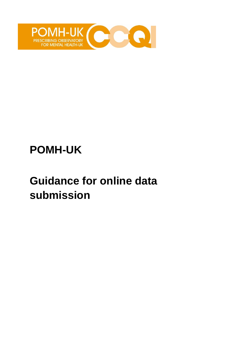

# **POMH-UK**

# **Guidance for online data submission**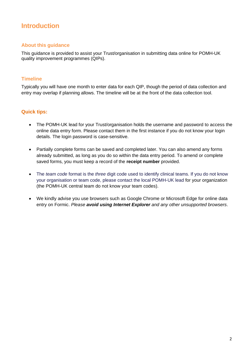# **Introduction**

### **About this guidance**

This guidance is provided to assist your Trust/organisation in submitting data online for POMH-UK quality improvement programmes (QIPs).

#### **Timeline**

Typically you will have one month to enter data for each QIP, though the period of data collection and entry may overlap if planning allows. The timeline will be at the front of the data collection tool.

#### **Quick tips:**

- The POMH-UK lead for your Trust/organisation holds the username and password to access the online data entry form. Please contact them in the first instance if you do not know your login details. The login password is case-sensitive.
- Partially complete forms can be saved and completed later. You can also amend any forms already submitted, as long as you do so within the data entry period. To amend or complete saved forms, you must keep a record of the **receipt number** provided.
- The *team code* format is the *three* digit code used to identify clinical teams. If you do not know your organisation or team code, please contact the local POMH-UK lead for your organization (the POMH-UK central team do not know your team codes).
- We kindly advise you use browsers such as Google Chrome or Microsoft Edge for online data entry on Formic. *Please avoid using Internet Explorer and any other unsupported browsers*.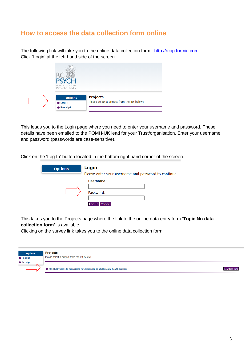## **How to access the data collection form online**

The following link will take you to the online data collection form: [http://rcop.formic.com](http://rcop.formic.com/) Click 'Login' at the left hand side of the screen.



This leads you to the Login page where you need to enter your username and password. These details have been emailed to the POMH-UK lead for your Trust/organisation. Enter your username and password (passwords are case-sensitive).

Click on the 'Log In' button located in the bottom right hand corner of the screen.

| <b>Options</b> | Login                                                |  |
|----------------|------------------------------------------------------|--|
|                | Please enter your username and password to continue: |  |
|                | Username:<br>Password:<br>ncel<br>Log                |  |

This takes you to the Projects page where the link to the online data entry form '**Topic Nn data collection form'** is available.

Clicking on the survey link takes you to the online data collection form.

| <b>Options</b>    | <b>Projects</b>                                                               |               |
|-------------------|-------------------------------------------------------------------------------|---------------|
| <b>C</b> Logout   | Please select a project from the list below:                                  |               |
| $\bullet$ Receipt |                                                                               |               |
|                   | ● POMHUK Topic 19b Prescribing for depression in adult mental health services | Download Data |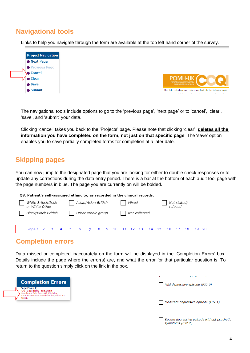# **Navigational tools**

Links to help you navigate through the form are available at the top left hand corner of the survey.



The navigational tools include options to go to the 'previous page', 'next page' or to 'cancel', 'clear', 'save', and 'submit' your data.

Clicking 'cancel' takes you back to the 'Projects' page. Please note that clicking 'clear', **deletes all the information you have completed on the form, not just on that specific page**. The 'save' option enables you to save partially completed forms for completion at a later date.

# **Skipping pages**

You can now jump to the designated page that you are looking for either to double check responses or to update any corrections during the data entry period. There is a bar at the bottom of each audit tool page with the page numbers in blue. The page you are currently on will be bolded.

#### Q8. Patient's self-assigned ethnicity, as recorded in the clinical records:

| White British/Irish<br>or White Other | Asian/Asian British | Mixed         | Not stated/<br>refused                                  |
|---------------------------------------|---------------------|---------------|---------------------------------------------------------|
| <b>Black/Black British</b>            | Other ethnic group  | Not collected |                                                         |
|                                       |                     |               | Page 1 2 3 4 5 6 7 8 9 10 11 12 13 14 15 16 17 18 19 20 |

## **Completion errors**

Data missed or completed inaccurately on the form will be displayed in the 'Completion Errors' box. Details include the page where the error(s) are, and what the error for that particular question is. To return to the question simply click on the link in the box.

| Mild depressive episode (F32.0)     |
|-------------------------------------|
|                                     |
|                                     |
|                                     |
| Moderate depressive episode (F32.1) |
|                                     |

Severe depressive episode without psychotic

symptoms (F32.2)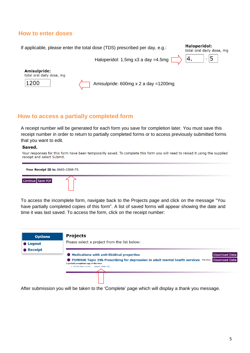## **How to enter doses**



## **How to access a partially completed form**

A receipt number will be generated for each form you save for completion later. You must save this receipt number in order to return to partially completed forms or to access previously submitted forms that you want to edit.

#### Saved.

```
Your responses for this form have been temporarily saved. To complete this form you will need to reload it using the supplied
receipt and select Submit.
```


To access the incomplete form, navigate back to the Projects page and click on the message "You have partially completed copies of this form". A list of saved forms will appear showing the date and time it was last saved. To access the form, click on the receipt number:



After submission you will be taken to the 'Complete' page which will display a thank you message.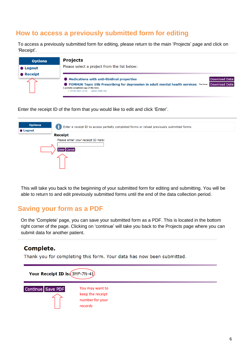## **How to access a previously submitted form for editing**

To access a previously submitted form for editing, please return to the main 'Projects' page and click on 'Receipt'.

| <b>Options</b>   | <b>Projects</b>                                                                                                                                                                                                                                                              |
|------------------|------------------------------------------------------------------------------------------------------------------------------------------------------------------------------------------------------------------------------------------------------------------------------|
| $\bullet$ Logout | Please select a project from the list below:                                                                                                                                                                                                                                 |
| <b>• Receipt</b> | <b>Medications with anti-libidinal properties</b><br><b>Download Data</b><br><b>POMHUK Topic 19b Prescribing for depression in adult mental health services You have Download Data</b><br>1 partially completed copy of this form.<br>$-29/09/202115:34$<br>$(866S-2SN8-7S)$ |

Enter the receipt ID of the form that you would like to edit and click 'Enter'.

| <b>Options</b>  | Enter a receipt ID to access partially completed forms or reload previously submitted forms. |  |  |  |
|-----------------|----------------------------------------------------------------------------------------------|--|--|--|
| <b>C</b> Logout | <b>Receipt</b>                                                                               |  |  |  |
|                 |                                                                                              |  |  |  |
|                 | Please enter your receipt ID here:                                                           |  |  |  |
|                 |                                                                                              |  |  |  |
|                 | <b>Enter Cancel</b>                                                                          |  |  |  |
|                 |                                                                                              |  |  |  |
|                 |                                                                                              |  |  |  |
|                 |                                                                                              |  |  |  |

This will take you back to the beginning of your submitted form for editing and submitting. You will be able to return to and edit previously submitted forms until the end of the data collection period.

# **Saving your form as a PDF**

On the 'Complete' page, you can save your submitted form as a PDF. This is located in the bottom right corner of the page. Clicking on 'continue' will take you back to the Projects page where you can submit data for another patient.

## **Complete.**

Thank you for completing this form. Your data has now been submitted.

Your Receipt ID is: (3MF-7N-41)



You may want to keep the receipt number for your records